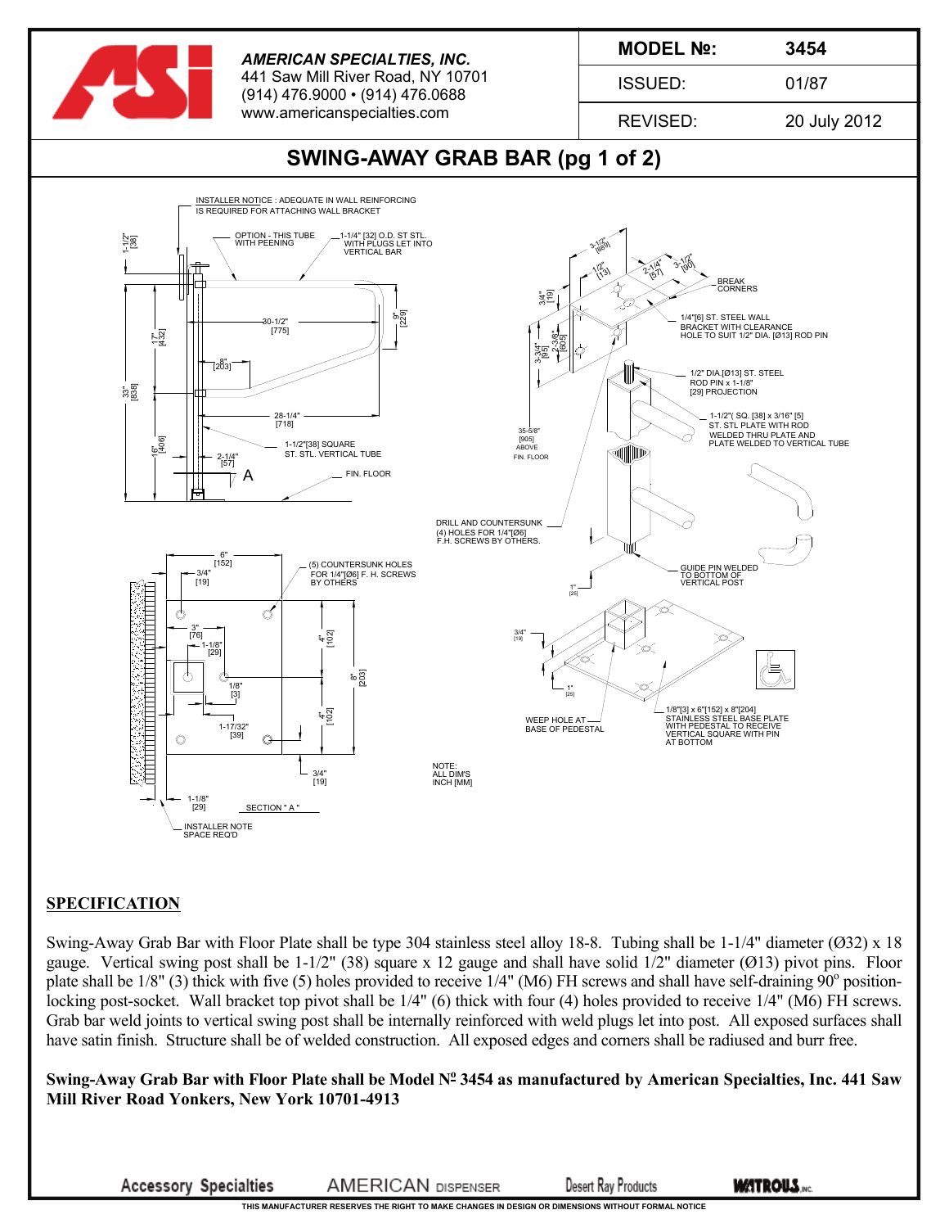

## **SPECIFICATION**

Swing-Away Grab Bar with Floor Plate shall be type 304 stainless steel alloy 18-8. Tubing shall be 1-1/4" diameter (Ø32) x 18 gauge. Vertical swing post shall be  $1-1/2$ " (38) square x 12 gauge and shall have solid  $1/2$ " diameter (Ø13) pivot pins. Floor plate shall be  $1/8$ " (3) thick with five (5) holes provided to receive  $1/4$ " (M6) FH screws and shall have self-draining  $90^\circ$  positionlocking post-socket. Wall bracket top pivot shall be  $1/4$ " (6) thick with four (4) holes provided to receive  $1/4$ " (M6) FH screws. Grab bar weld joints to vertical swing post shall be internally reinforced with weld plugs let into post. All exposed surfaces shall have satin finish. Structure shall be of welded construction. All exposed edges and corners shall be radiused and burr free.

Swing-Away Grab Bar with Floor Plate shall be Model N<sup>o</sup> 3454 as manufactured by American Specialties, Inc. 441 Saw **Mill River Road Yonkers, New York 10701-4913**

**Accessory Specialties** 

**AMERICAN DISPENSER** 

**Desert Ray Products** 

**THIS MANUFACTURER RESERVES THE RIGHT TO MAKE CHANGES IN DESIGN OR DIMENSIONS WITHOUT FORMAL NOTICE**